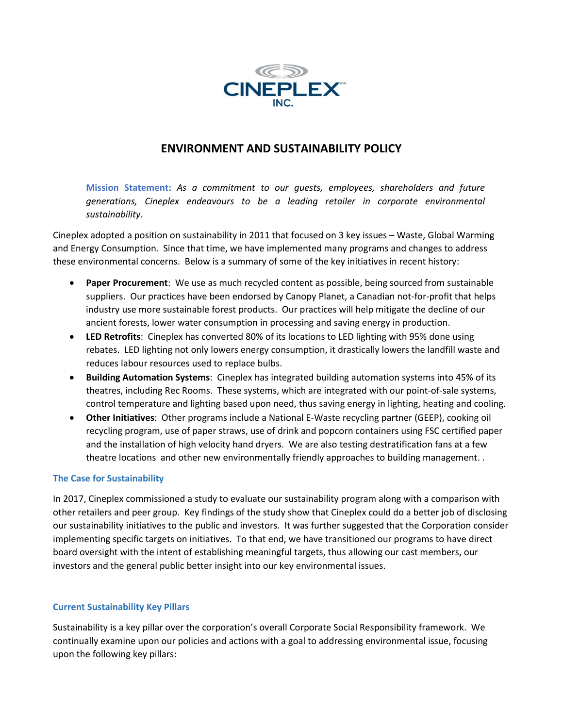

# **ENVIRONMENT AND SUSTAINABILITY POLICY**

**Mission Statement:** *As a commitment to our guests, employees, shareholders and future generations, Cineplex endeavours to be a leading retailer in corporate environmental sustainability.* 

Cineplex adopted a position on sustainability in 2011 that focused on 3 key issues – Waste, Global Warming and Energy Consumption. Since that time, we have implemented many programs and changes to address these environmental concerns. Below is a summary of some of the key initiatives in recent history:

- **Paper Procurement**: We use as much recycled content as possible, being sourced from sustainable suppliers. Our practices have been endorsed by Canopy Planet, a Canadian not-for-profit that helps industry use more sustainable forest products. Our practices will help mitigate the decline of our ancient forests, lower water consumption in processing and saving energy in production.
- **LED Retrofits**: Cineplex has converted 80% of its locations to LED lighting with 95% done using rebates. LED lighting not only lowers energy consumption, it drastically lowers the landfill waste and reduces labour resources used to replace bulbs.
- **Building Automation Systems**: Cineplex has integrated building automation systems into 45% of its theatres, including Rec Rooms. These systems, which are integrated with our point-of-sale systems, control temperature and lighting based upon need, thus saving energy in lighting, heating and cooling.
- **Other Initiatives**: Other programs include a National E-Waste recycling partner (GEEP), cooking oil recycling program, use of paper straws, use of drink and popcorn containers using FSC certified paper and the installation of high velocity hand dryers. We are also testing destratification fans at a few theatre locations and other new environmentally friendly approaches to building management. .

## **The Case for Sustainability**

In 2017, Cineplex commissioned a study to evaluate our sustainability program along with a comparison with other retailers and peer group. Key findings of the study show that Cineplex could do a better job of disclosing our sustainability initiatives to the public and investors. It was further suggested that the Corporation consider implementing specific targets on initiatives. To that end, we have transitioned our programs to have direct board oversight with the intent of establishing meaningful targets, thus allowing our cast members, our investors and the general public better insight into our key environmental issues.

## **Current Sustainability Key Pillars**

Sustainability is a key pillar over the corporation's overall Corporate Social Responsibility framework. We continually examine upon our policies and actions with a goal to addressing environmental issue, focusing upon the following key pillars: